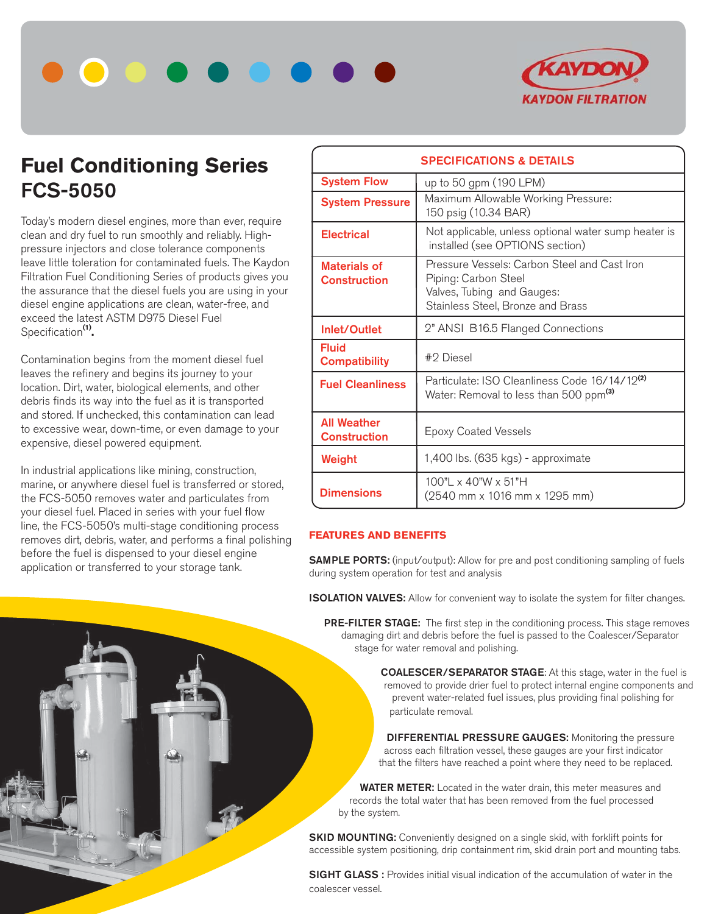



# **Fuel Conditioning Series FCS-5050**

Today's modern diesel engines, more than ever, require clean and dry fuel to run smoothly and reliably. Highpressure injectors and close tolerance components leave little toleration for contaminated fuels. The Kaydon Filtration Fuel Conditioning Series of products gives you the assurance that the diesel fuels you are using in your diesel engine applications are clean, water-free, and exceed the latest ASTM D975 Diesel Fuel Specification**(1).**

Contamination begins from the moment diesel fuel leaves the refinery and begins its journey to your location. Dirt, water, biological elements, and other debris finds its way into the fuel as it is transported and stored. If unchecked, this contamination can lead to excessive wear, down-time, or even damage to your expensive, diesel powered equipment.

In industrial applications like mining, construction, marine, or anywhere diesel fuel is transferred or stored, the FCS-5050 removes water and particulates from your diesel fuel. Placed in series with your fuel flow line, the FCS-5050's multi-stage conditioning process removes dirt, debris, water, and performs a final polishing before the fuel is dispensed to your diesel engine application or transferred to your storage tank.

| <b>SPECIFICATIONS &amp; DETAILS</b>       |                                                                                                                                         |  |  |
|-------------------------------------------|-----------------------------------------------------------------------------------------------------------------------------------------|--|--|
| <b>System Flow</b>                        | up to 50 gpm (190 LPM)                                                                                                                  |  |  |
| <b>System Pressure</b>                    | Maximum Allowable Working Pressure:<br>150 psig (10.34 BAR)                                                                             |  |  |
| <b>Electrical</b>                         | Not applicable, unless optional water sump heater is<br>installed (see OPTIONS section)                                                 |  |  |
| Materials of<br><b>Construction</b>       | Pressure Vessels: Carbon Steel and Cast Iron<br>Piping: Carbon Steel<br>Valves, Tubing and Gauges:<br>Stainless Steel, Bronze and Brass |  |  |
| Inlet/Outlet                              | 2" ANSI B16.5 Flanged Connections                                                                                                       |  |  |
| <b>Fluid</b><br><b>Compatibility</b>      | #2 Diesel                                                                                                                               |  |  |
| <b>Fuel Cleanliness</b>                   | Particulate: ISO Cleanliness Code 16/14/12 <sup>(2)</sup><br>Water: Removal to less than 500 ppm <sup>(3)</sup>                         |  |  |
| <b>All Weather</b><br><b>Construction</b> | <b>Epoxy Coated Vessels</b>                                                                                                             |  |  |
| Weight                                    | 1,400 lbs. (635 kgs) - approximate                                                                                                      |  |  |
| <b>Dimensions</b>                         | 100" x 40" W x 51" H<br>(2540 mm x 1016 mm x 1295 mm)                                                                                   |  |  |

## **FEATURES AND BENEFITS**

**SAMPLE PORTS:** (input/output): Allow for pre and post conditioning sampling of fuels during system operation for test and analysis

**ISOLATION VALVES:** Allow for convenient way to isolate the system for filter changes.

 **PRE-FILTER STAGE:** The first step in the conditioning process. This stage removes damaging dirt and debris before the fuel is passed to the Coalescer/Separator stage for water removal and polishing.

> **COALESCER/SEPARATOR STAGE**: At this stage, water in the fuel is removed to provide drier fuel to protect internal engine components and prevent water-related fuel issues, plus providing final polishing for particulate removal.

 **DIFFERENTIAL PRESSURE GAUGES:** Monitoring the pressure across each filtration vessel, these gauges are your first indicator that the filters have reached a point where they need to be replaced.

 **WATER METER:** Located in the water drain, this meter measures and records the total water that has been removed from the fuel processed by the system.

**SKID MOUNTING:** Conveniently designed on a single skid, with forklift points for accessible system positioning, drip containment rim, skid drain port and mounting tabs.

**SIGHT GLASS**: Provides initial visual indication of the accumulation of water in the coalescer vessel.